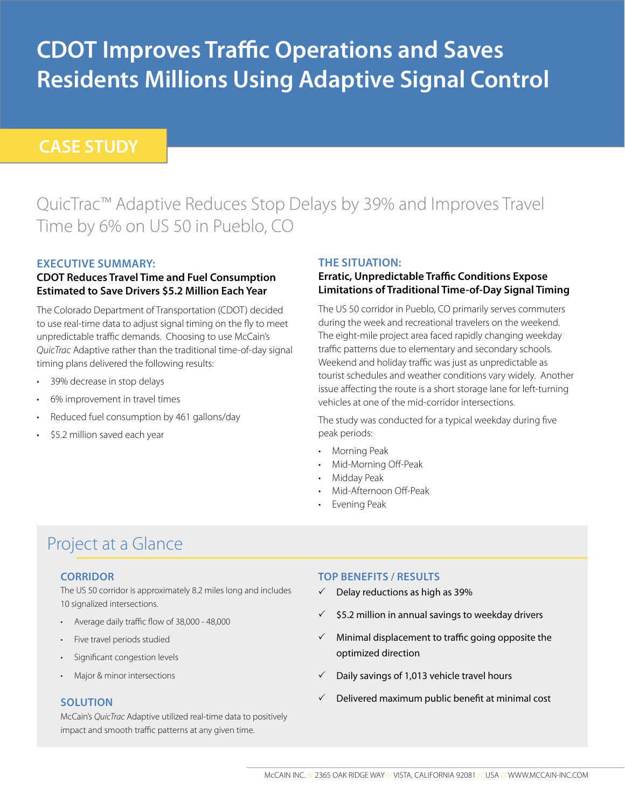# **CDOT Improves Traffic Operations and Saves Residents Millions Using Adaptive Signal Control**

### **CASE STUDY**

# QuicTrac™ Adaptive Reduces Stop Delays by 39% and Improves Travel Time by 6% on US 50 in Pueblo, CO

#### **EXECUTIVE SUMMARY:**

#### **CDOT Reduces Travel Time and Fuel Consumption Estimated to Save Drivers \$5.2 Million Each Year**

The Colorado Department of Transportation (CDOT) decided to use real-time data to adjust signal timing on the fly to meet unpredictable traffic demands. Choosing to use McCain's *QuicTrac* Adaptive rather than the traditional time-of-day signal timing plans delivered the following results:

- 39% decrease in stop delays
- 6% improvement in travel times
- Reduced fuel consumption by 461 gallons/day
- \$5.2 million saved each year

#### **THE SITUATION:**

#### **Erratic, Unpredictable Traffic Conditions Expose Limitations of Traditional Time-of-Day Signal Timing**

The US 50 corridor in Pueblo, CO primarily serves commuters during the week and recreational travelers on the weekend. The eight-mile project area faced rapidly changing weekday traffic patterns due to elementary and secondary schools. Weekend and holiday traffic was just as unpredictable as tourist schedules and weather conditions vary widely. Another issue affecting the route is a short storage lane for left-turning vehicles at one of the mid-corridor intersections.

The study was conducted for a typical weekday during five peak periods:

- Morning Peak
- Mid-Morning Off-Peak
- Midday Peak
- Mid-Afternoon Off-Peak
- Evening Peak

## Project at a Glance

#### **CORRIDOR**

The US 50 corridor is approximately 8.2 miles long and includes 10 signalized intersections.

- Average daily traffic flow of 38,000 48,000
- Five travel periods studied
- Significant congestion levels
- Major & minor intersections

#### **SOLUTION**

McCain's *QuicTrac* Adaptive utilized real-time data to positively impact and smooth traffic patterns at any given time.

#### **TOP BENEFITS / RESULTS**

- $\checkmark$  Delay reductions as high as 39%
- \$5.2 million in annual savings to weekday drivers
- $\checkmark$  Minimal displacement to traffic going opposite the optimized direction
- $\checkmark$  Daily savings of 1,013 vehicle travel hours
- $\checkmark$  Delivered maximum public benefit at minimal cost